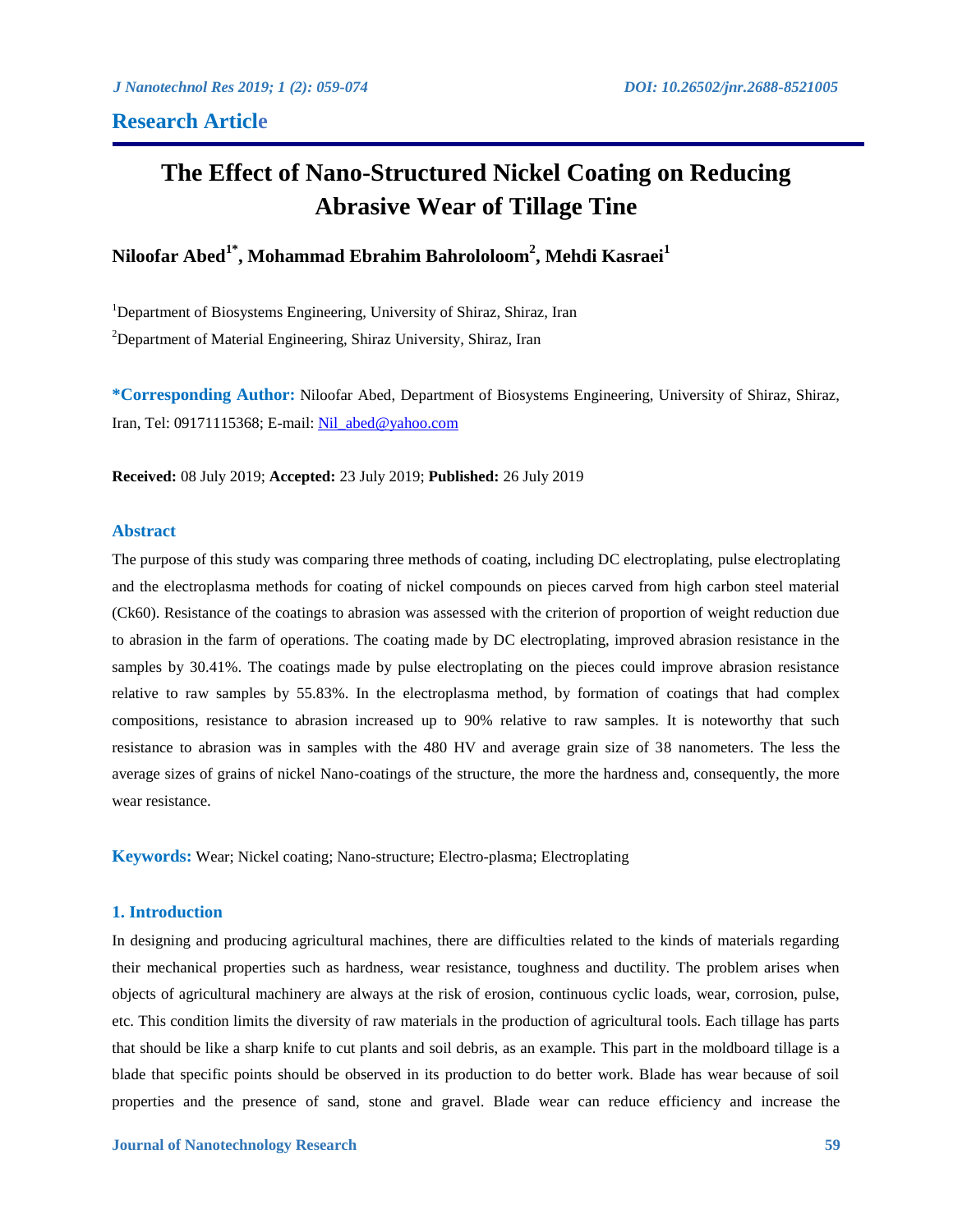# **The Effect of Nano-Structured Nickel Coating on Reducing Abrasive Wear of Tillage Tine**

# **Niloofar Abed1\* , Mohammad Ebrahim Bahrololoom<sup>2</sup> , Mehdi Kasraei<sup>1</sup>**

<sup>1</sup>Department of Biosystems Engineering, University of Shiraz, Shiraz, Iran  $2$ Department of Material Engineering, Shiraz University, Shiraz, Iran

**\*Corresponding Author:** Niloofar Abed, Department of Biosystems Engineering, University of Shiraz, Shiraz, Iran, Tel: 09171115368; E-mail: [Nil\\_abed@yahoo.com](Nil_abed@yahoo.com)

**Received:** 08 July 2019; **Accepted:** 23 July 2019; **Published:** 26 July 2019

# **Abstract**

The purpose of this study was comparing three methods of coating, including DC electroplating, pulse electroplating and the electroplasma methods for coating of nickel compounds on pieces carved from high carbon steel material (Ck60). Resistance of the coatings to abrasion was assessed with the criterion of proportion of weight reduction due to abrasion in the farm of operations. The coating made by DC electroplating, improved abrasion resistance in the samples by 30.41%. The coatings made by pulse electroplating on the pieces could improve abrasion resistance relative to raw samples by 55.83%. In the electroplasma method, by formation of coatings that had complex compositions, resistance to abrasion increased up to 90% relative to raw samples. It is noteworthy that such resistance to abrasion was in samples with the 480 HV and average grain size of 38 nanometers. The less the average sizes of grains of nickel Nano-coatings of the structure, the more the hardness and, consequently, the more wear resistance.

**Keywords:** Wear; Nickel coating; Nano-structure; Electro-plasma; Electroplating

# **1. Introduction**

In designing and producing agricultural machines, there are difficulties related to the kinds of materials regarding their mechanical properties such as hardness, wear resistance, toughness and ductility. The problem arises when objects of agricultural machinery are always at the risk of erosion, continuous cyclic loads, wear, corrosion, pulse, etc. This condition limits the diversity of raw materials in the production of agricultural tools. Each tillage has parts that should be like a sharp knife to cut plants and soil debris, as an example. This part in the moldboard tillage is a blade that specific points should be observed in its production to do better work. Blade has wear because of soil properties and the presence of sand, stone and gravel. Blade wear can reduce efficiency and increase the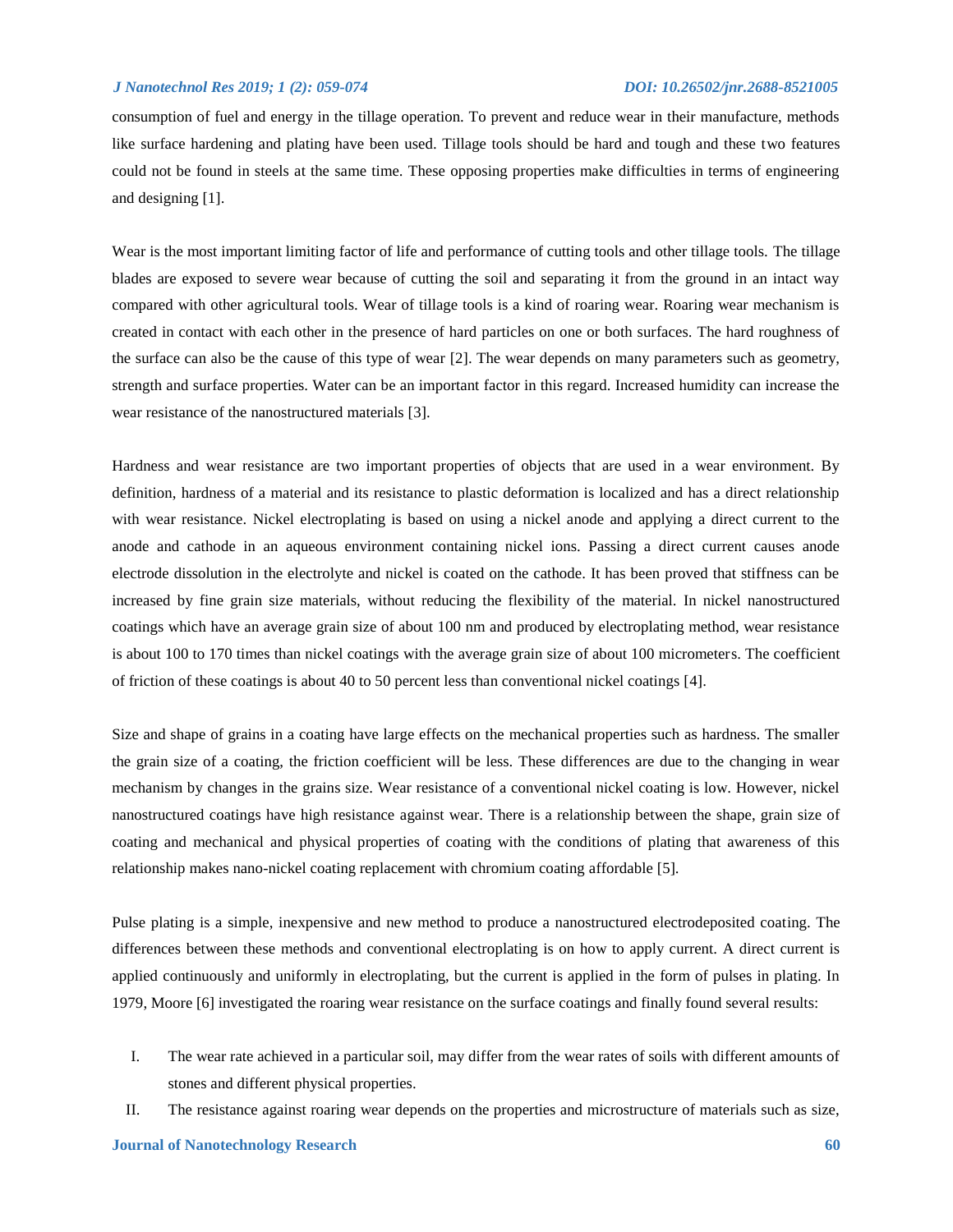consumption of fuel and energy in the tillage operation. To prevent and reduce wear in their manufacture, methods like surface hardening and plating have been used. Tillage tools should be hard and tough and these two features could not be found in steels at the same time. These opposing properties make difficulties in terms of engineering and designing [1].

Wear is the most important limiting factor of life and performance of cutting tools and other tillage tools. The tillage blades are exposed to severe wear because of cutting the soil and separating it from the ground in an intact way compared with other agricultural tools. Wear of tillage tools is a kind of roaring wear. Roaring wear mechanism is created in contact with each other in the presence of hard particles on one or both surfaces. The hard roughness of the surface can also be the cause of this type of wear [2]. The wear depends on many parameters such as geometry, strength and surface properties. Water can be an important factor in this regard. Increased humidity can increase the wear resistance of the nanostructured materials [3].

Hardness and wear resistance are two important properties of objects that are used in a wear environment. By definition, hardness of a material and its resistance to plastic deformation is localized and has a direct relationship with wear resistance. Nickel electroplating is based on using a nickel anode and applying a direct current to the anode and cathode in an aqueous environment containing nickel ions. Passing a direct current causes anode electrode dissolution in the electrolyte and nickel is coated on the cathode. It has been proved that stiffness can be increased by fine grain size materials, without reducing the flexibility of the material. In nickel nanostructured coatings which have an average grain size of about 100 nm and produced by electroplating method, wear resistance is about 100 to 170 times than nickel coatings with the average grain size of about 100 micrometers. The coefficient of friction of these coatings is about 40 to 50 percent less than conventional nickel coatings [4].

Size and shape of grains in a coating have large effects on the mechanical properties such as hardness. The smaller the grain size of a coating, the friction coefficient will be less. These differences are due to the changing in wear mechanism by changes in the grains size. Wear resistance of a conventional nickel coating is low. However, nickel nanostructured coatings have high resistance against wear. There is a relationship between the shape, grain size of coating and mechanical and physical properties of coating with the conditions of plating that awareness of this relationship makes nano-nickel coating replacement with chromium coating affordable [5].

Pulse plating is a simple, inexpensive and new method to produce a nanostructured electrodeposited coating. The differences between these methods and conventional electroplating is on how to apply current. A direct current is applied continuously and uniformly in electroplating, but the current is applied in the form of pulses in plating. In 1979, Moore [6] investigated the roaring wear resistance on the surface coatings and finally found several results:

- I. The wear rate achieved in a particular soil, may differ from the wear rates of soils with different amounts of stones and different physical properties.
- II. The resistance against roaring wear depends on the properties and microstructure of materials such as size,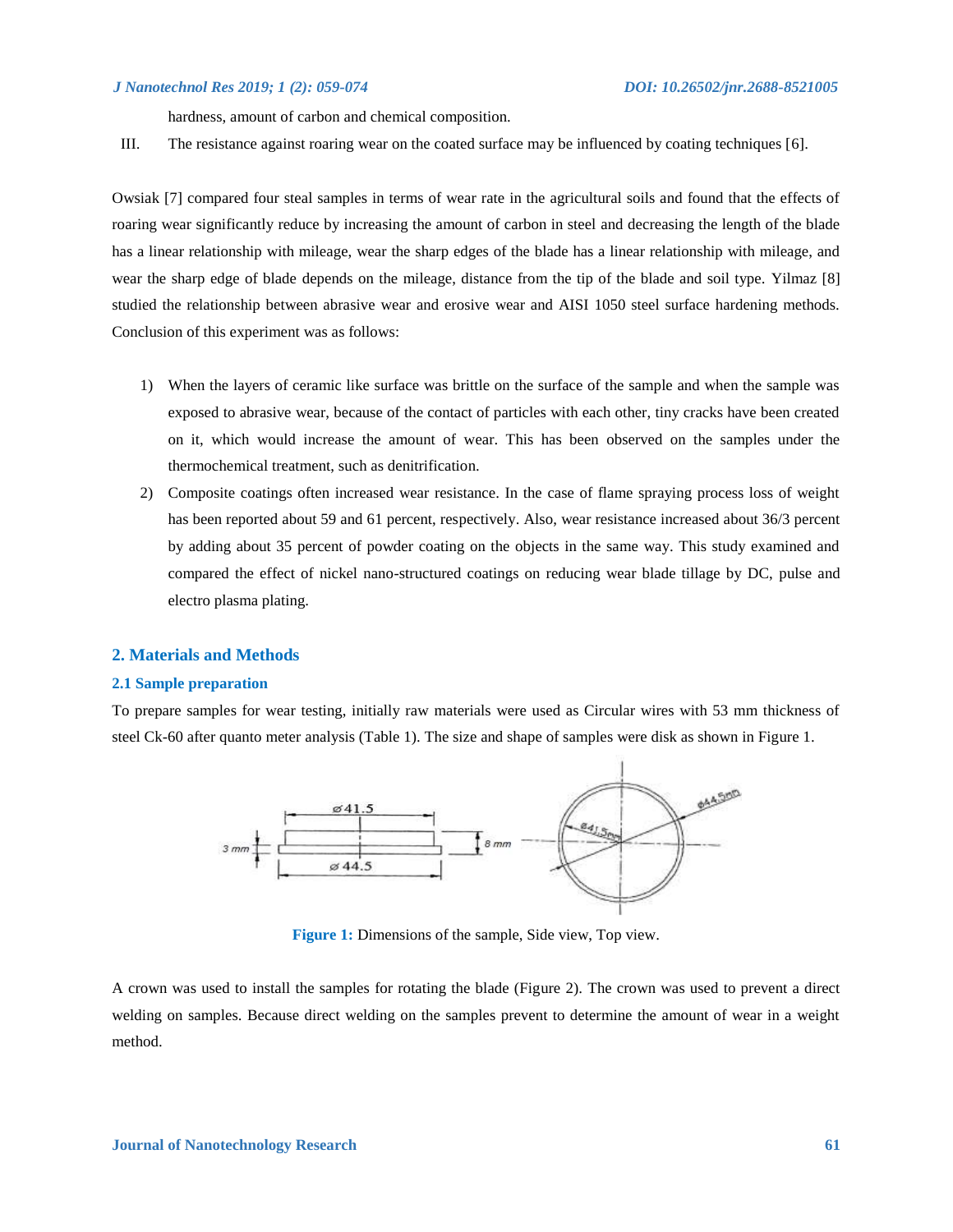hardness, amount of carbon and chemical composition.

III. The resistance against roaring wear on the coated surface may be influenced by coating techniques [6].

Owsiak [7] compared four steal samples in terms of wear rate in the agricultural soils and found that the effects of roaring wear significantly reduce by increasing the amount of carbon in steel and decreasing the length of the blade has a linear relationship with mileage, wear the sharp edges of the blade has a linear relationship with mileage, and wear the sharp edge of blade depends on the mileage, distance from the tip of the blade and soil type. Yilmaz [8] studied the relationship between abrasive wear and erosive wear and AISI 1050 steel surface hardening methods. Conclusion of this experiment was as follows:

- 1) When the layers of ceramic like surface was brittle on the surface of the sample and when the sample was exposed to abrasive wear, because of the contact of particles with each other, tiny cracks have been created on it, which would increase the amount of wear. This has been observed on the samples under the thermochemical treatment, such as denitrification.
- 2) Composite coatings often increased wear resistance. In the case of flame spraying process loss of weight has been reported about 59 and 61 percent, respectively. Also, wear resistance increased about 36/3 percent by adding about 35 percent of powder coating on the objects in the same way. This study examined and compared the effect of nickel nano-structured coatings on reducing wear blade tillage by DC, pulse and electro plasma plating.

# **2. Materials and Methods**

# **2.1 Sample preparation**

To prepare samples for wear testing, initially raw materials were used as Circular wires with 53 mm thickness of steel Ck-60 after quanto meter analysis (Table 1). The size and shape of samples were disk as shown in Figure 1.



**Figure 1:** Dimensions of the sample, Side view, Top view.

A crown was used to install the samples for rotating the blade (Figure 2). The crown was used to prevent a direct welding on samples. Because direct welding on the samples prevent to determine the amount of wear in a weight method.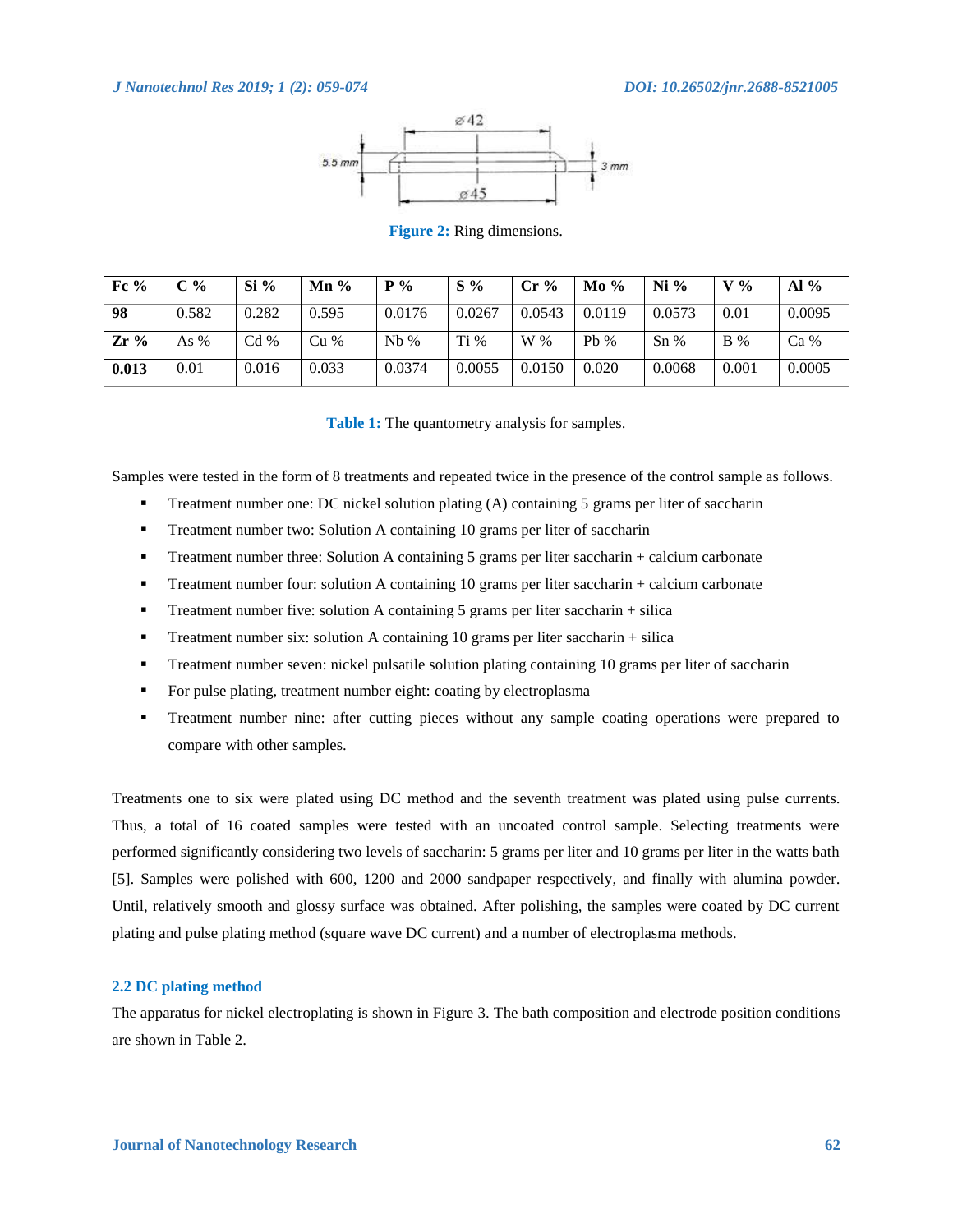

**Figure 2:** Ring dimensions.

| Fc $%$ | C %   | $Si\%$ | $\mathbf{Mn}$ % | $P\%$  | $S\%$  | $Cr\%$ | $Mo\%$ | $Ni\%$ | $V_{\infty}$ | $\mathbf{Al} \%$ |
|--------|-------|--------|-----------------|--------|--------|--------|--------|--------|--------------|------------------|
| 98     | 0.582 | 0.282  | 0.595           | 0.0176 | 0.0267 | 0.0543 | 0.0119 | 0.0573 | 0.01         | 0.0095           |
| $Zr\%$ | As %  | Cd%    | Cu%             | $Nb\%$ | Ti%    | W %    | $Pb\%$ | $Sn\%$ | $B\%$        | $Ca\%$           |
| 0.013  | 0.01  | 0.016  | 0.033           | 0.0374 | 0.0055 | 0.0150 | 0.020  | 0.0068 | 0.001        | 0.0005           |

**Table 1:** The quantometry analysis for samples.

Samples were tested in the form of 8 treatments and repeated twice in the presence of the control sample as follows.

- **Treatment number one: DC nickel solution plating (A) containing 5 grams per liter of saccharin**
- **Treatment number two: Solution A containing 10 grams per liter of saccharin**
- Treatment number three: Solution A containing 5 grams per liter saccharin + calcium carbonate
- Treatment number four: solution A containing 10 grams per liter saccharin + calcium carbonate
- Treatment number five: solution A containing 5 grams per liter saccharin  $+$  silica
- Treatment number six: solution A containing 10 grams per liter saccharin  $+$  silica
- Treatment number seven: nickel pulsatile solution plating containing 10 grams per liter of saccharin
- For pulse plating, treatment number eight: coating by electroplasma
- Treatment number nine: after cutting pieces without any sample coating operations were prepared to compare with other samples.

Treatments one to six were plated using DC method and the seventh treatment was plated using pulse currents. Thus, a total of 16 coated samples were tested with an uncoated control sample. Selecting treatments were performed significantly considering two levels of saccharin: 5 grams per liter and 10 grams per liter in the watts bath [5]. Samples were polished with 600, 1200 and 2000 sandpaper respectively, and finally with alumina powder. Until, relatively smooth and glossy surface was obtained. After polishing, the samples were coated by DC current plating and pulse plating method (square wave DC current) and a number of electroplasma methods.

### **2.2 DC plating method**

The apparatus for nickel electroplating is shown in Figure 3. The bath composition and electrode position conditions are shown in Table 2.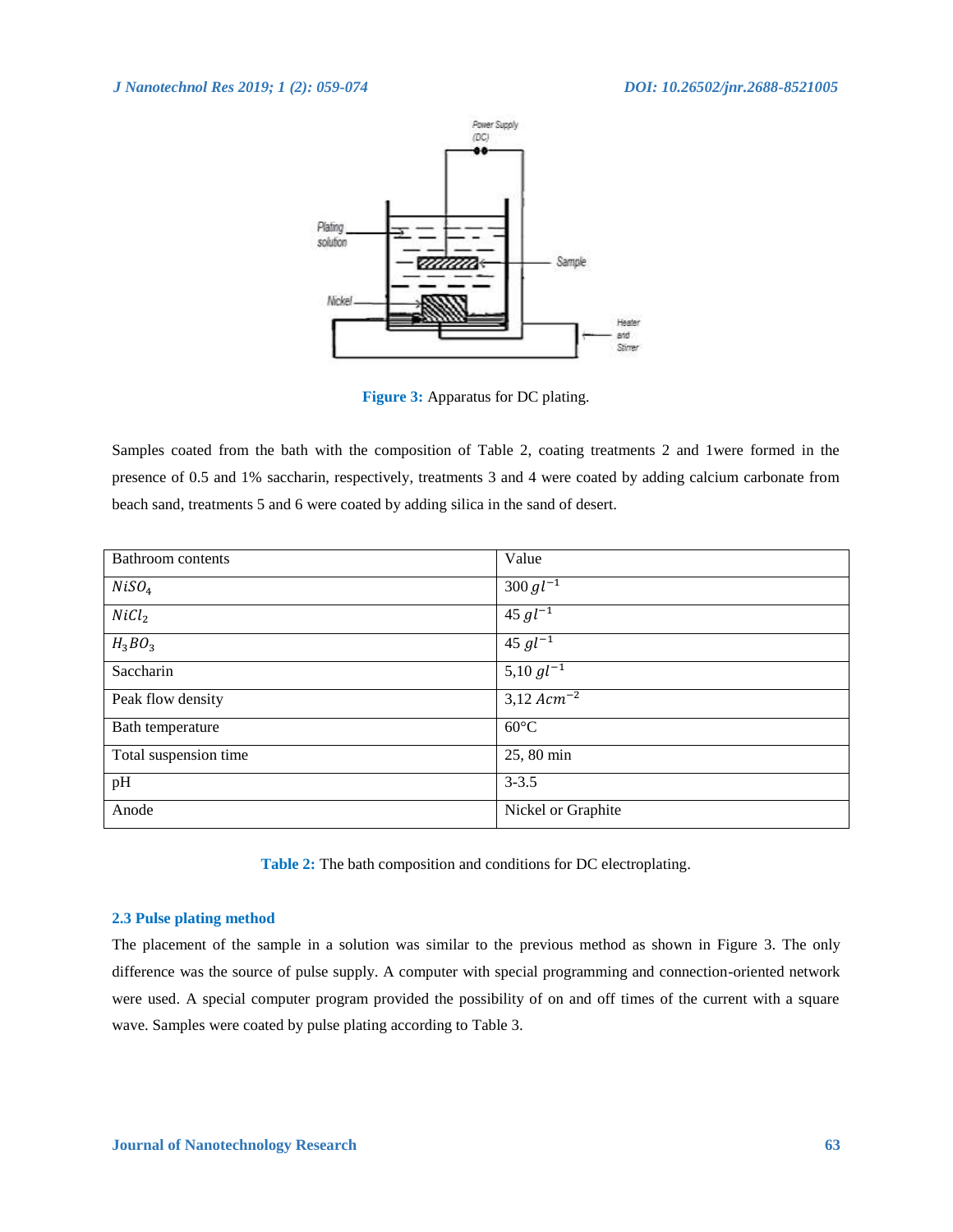

**Figure 3:** Apparatus for DC plating.

Samples coated from the bath with the composition of Table 2, coating treatments 2 and 1were formed in the presence of 0.5 and 1% saccharin, respectively, treatments 3 and 4 were coated by adding calcium carbonate from beach sand, treatments 5 and 6 were coated by adding silica in the sand of desert.

| Bathroom contents     | Value                    |
|-----------------------|--------------------------|
| NiSO <sub>4</sub>     | $300 \, gl^{-1}$         |
| NiCl <sub>2</sub>     | $45 \, gl^{-1}$          |
| $H_3BO_3$             | $45 gl^{-1}$             |
| Saccharin             | $5,10 \, gl^{-1}$        |
| Peak flow density     | $3,12$ Acm <sup>-2</sup> |
| Bath temperature      | $60^{\circ}$ C           |
| Total suspension time | 25, 80 min               |
| pH                    | $3 - 3.5$                |
| Anode                 | Nickel or Graphite       |

**Table 2:** The bath composition and conditions for DC electroplating.

# **2.3 Pulse plating method**

The placement of the sample in a solution was similar to the previous method as shown in Figure 3. The only difference was the source of pulse supply. A computer with special programming and connection-oriented network were used. A special computer program provided the possibility of on and off times of the current with a square wave. Samples were coated by pulse plating according to Table 3.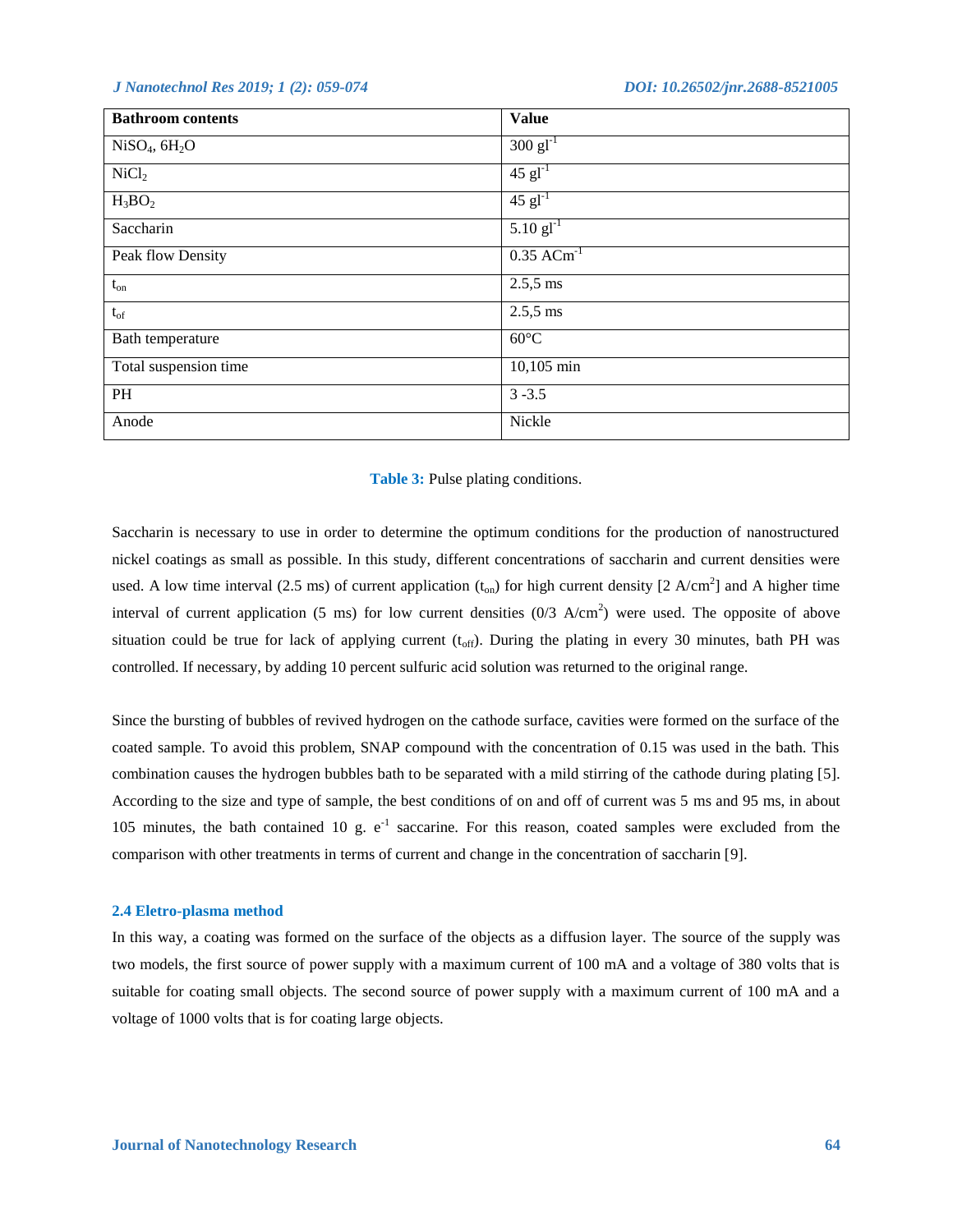| <b>Bathroom</b> contents              | <b>Value</b>                     |
|---------------------------------------|----------------------------------|
| NiSO <sub>4</sub> , 6H <sub>2</sub> O | $300 \text{ g}l^{-1}$            |
| NiCl <sub>2</sub>                     | $\overline{45}$ gl <sup>-1</sup> |
| $H_3BO_2$                             | $45$ $gl^{-1}$                   |
| Saccharin                             | $5.10$ gl <sup>-1</sup>          |
| Peak flow Density                     | $0.35$ ACm <sup>-1</sup>         |
| $\mathfrak{t}_{\text{on}}$            | $2.5,5$ ms                       |
| $\mathfrak{t}_{\text{of}}$            | $2.5,5$ ms                       |
| Bath temperature                      | $60^{\circ}$ C                   |
| Total suspension time                 | 10,105 min                       |
| PH                                    | $3 - 3.5$                        |
| Anode                                 | Nickle                           |

### **Table 3:** Pulse plating conditions.

Saccharin is necessary to use in order to determine the optimum conditions for the production of nanostructured nickel coatings as small as possible. In this study, different concentrations of saccharin and current densities were used. A low time interval (2.5 ms) of current application  $(t_{on})$  for high current density [2 A/cm<sup>2</sup>] and A higher time interval of current application (5 ms) for low current densities  $(0/3 \text{ A/cm}^2)$  were used. The opposite of above situation could be true for lack of applying current  $(t_{off})$ . During the plating in every 30 minutes, bath PH was controlled. If necessary, by adding 10 percent sulfuric acid solution was returned to the original range.

Since the bursting of bubbles of revived hydrogen on the cathode surface, cavities were formed on the surface of the coated sample. To avoid this problem, SNAP compound with the concentration of 0.15 was used in the bath. This combination causes the hydrogen bubbles bath to be separated with a mild stirring of the cathode during plating [5]. According to the size and type of sample, the best conditions of on and off of current was 5 ms and 95 ms, in about 105 minutes, the bath contained 10 g.  $e^{-1}$  saccarine. For this reason, coated samples were excluded from the comparison with other treatments in terms of current and change in the concentration of saccharin [9].

### **2.4 Eletro-plasma method**

In this way, a coating was formed on the surface of the objects as a diffusion layer. The source of the supply was two models, the first source of power supply with a maximum current of 100 mA and a voltage of 380 volts that is suitable for coating small objects. The second source of power supply with a maximum current of 100 mA and a voltage of 1000 volts that is for coating large objects.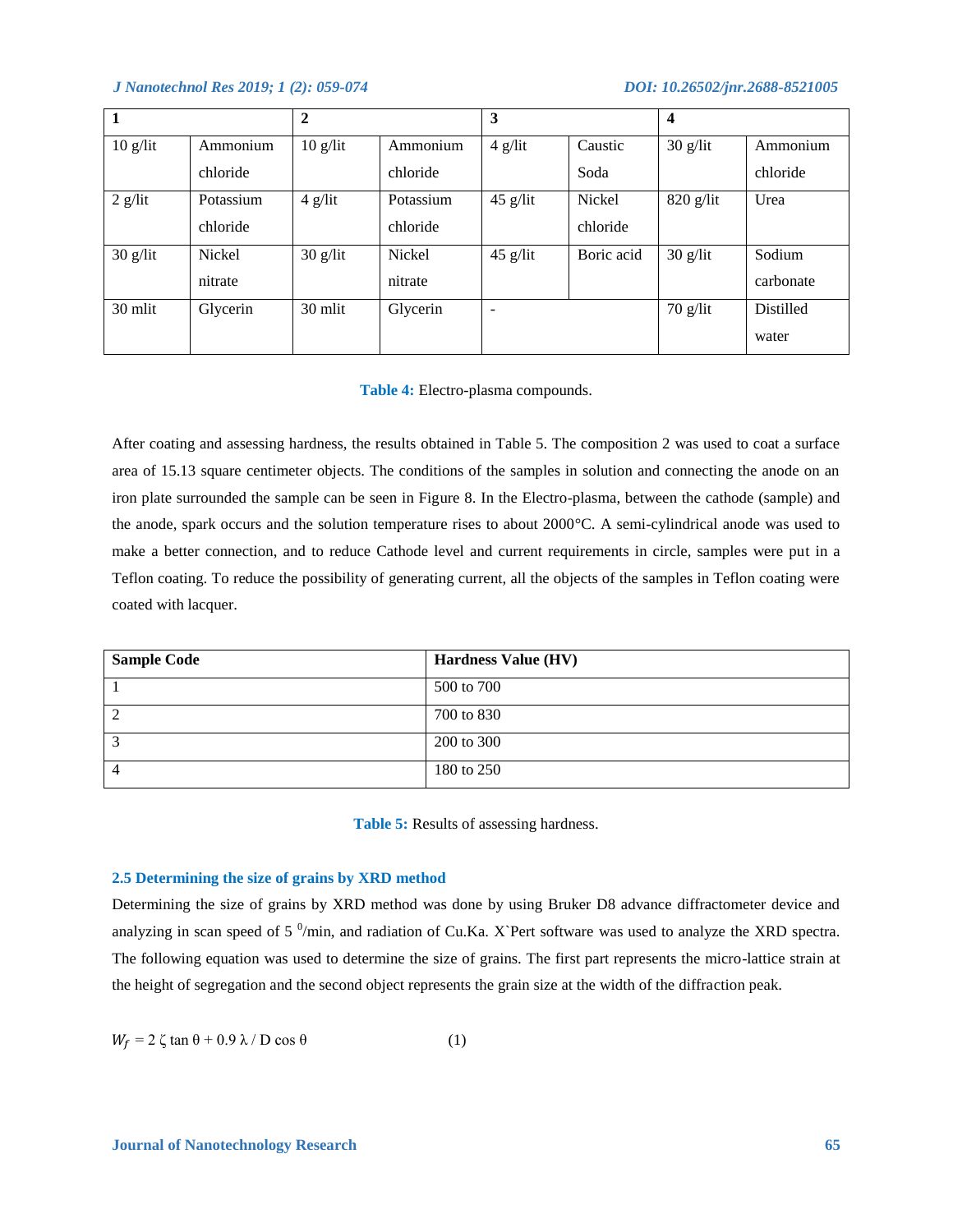|            |           | 2          |           | 3          |            | $\overline{4}$ |           |
|------------|-----------|------------|-----------|------------|------------|----------------|-----------|
| $10$ g/lit | Ammonium  | $10$ g/lit | Ammonium  | $4$ g/lit  | Caustic    | $30$ g/lit     | Ammonium  |
|            | chloride  |            | chloride  |            | Soda       |                | chloride  |
| $2$ g/lit  | Potassium | $4$ g/lit  | Potassium | $45$ g/lit | Nickel     | $820$ g/lit    | Urea      |
|            | chloride  |            | chloride  |            | chloride   |                |           |
| $30$ g/lit | Nickel    | $30$ g/lit | Nickel    | $45$ g/lit | Boric acid | $30$ g/lit     | Sodium    |
|            | nitrate   |            | nitrate   |            |            |                | carbonate |
| 30 mlit    | Glycerin  | 30 mlit    | Glycerin  |            |            | $70$ g/lit     | Distilled |
|            |           |            |           |            |            |                | water     |

### **Table 4:** Electro-plasma compounds.

After coating and assessing hardness, the results obtained in Table 5. The composition 2 was used to coat a surface area of 15.13 square centimeter objects. The conditions of the samples in solution and connecting the anode on an iron plate surrounded the sample can be seen in Figure 8. In the Electro-plasma, between the cathode (sample) and the anode, spark occurs and the solution temperature rises to about 2000°C. A semi-cylindrical anode was used to make a better connection, and to reduce Cathode level and current requirements in circle, samples were put in a Teflon coating. To reduce the possibility of generating current, all the objects of the samples in Teflon coating were coated with lacquer.

| <b>Sample Code</b> | <b>Hardness Value (HV)</b> |
|--------------------|----------------------------|
|                    | 500 to 700                 |
| 2                  | 700 to 830                 |
|                    | 200 to 300                 |
| 4                  | 180 to 250                 |

# **Table 5:** Results of assessing hardness.

### **2.5 Determining the size of grains by XRD method**

Determining the size of grains by XRD method was done by using Bruker D8 advance diffractometer device and analyzing in scan speed of 5  $^0$ /min, and radiation of Cu.Ka. X`Pert software was used to analyze the XRD spectra. The following equation was used to determine the size of grains. The first part represents the micro-lattice strain at the height of segregation and the second object represents the grain size at the width of the diffraction peak.

$$
W_f = 2 \zeta \tan \theta + 0.9 \lambda / D \cos \theta \tag{1}
$$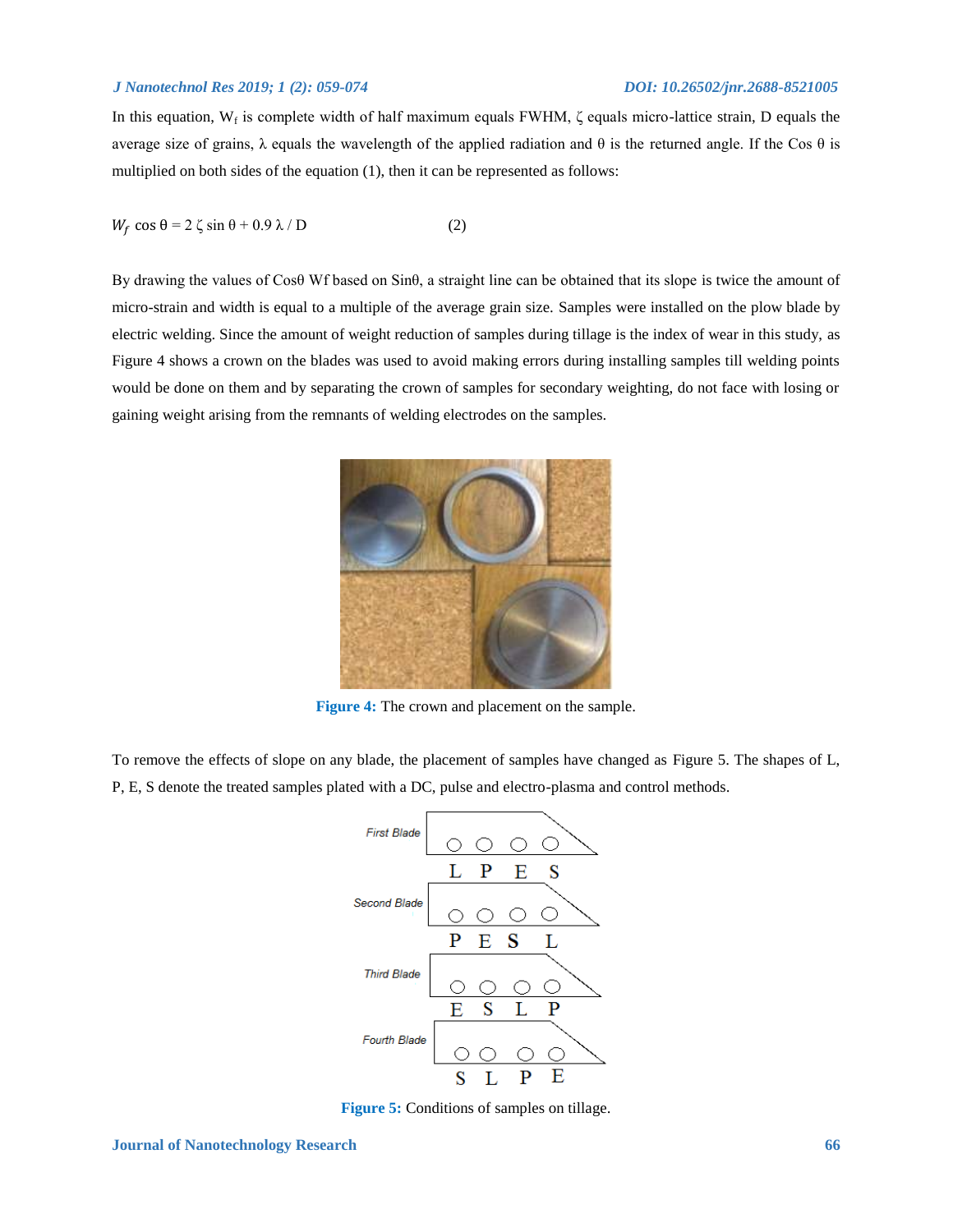In this equation,  $W_f$  is complete width of half maximum equals FWHM,  $\zeta$  equals micro-lattice strain, D equals the average size of grains, λ equals the wavelength of the applied radiation and θ is the returned angle. If the Cos θ is multiplied on both sides of the equation (1), then it can be represented as follows:

$$
W_f \cos \theta = 2 \zeta \sin \theta + 0.9 \lambda / D \tag{2}
$$

By drawing the values of Cosθ Wf based on Sinθ, a straight line can be obtained that its slope is twice the amount of micro-strain and width is equal to a multiple of the average grain size. Samples were installed on the plow blade by electric welding. Since the amount of weight reduction of samples during tillage is the index of wear in this study, as Figure 4 shows a crown on the blades was used to avoid making errors during installing samples till welding points would be done on them and by separating the crown of samples for secondary weighting, do not face with losing or gaining weight arising from the remnants of welding electrodes on the samples.



**Figure 4:** The crown and placement on the sample.

To remove the effects of slope on any blade, the placement of samples have changed as Figure 5. The shapes of L, P, E, S denote the treated samples plated with a DC, pulse and electro-plasma and control methods.



**Figure 5:** Conditions of samples on tillage.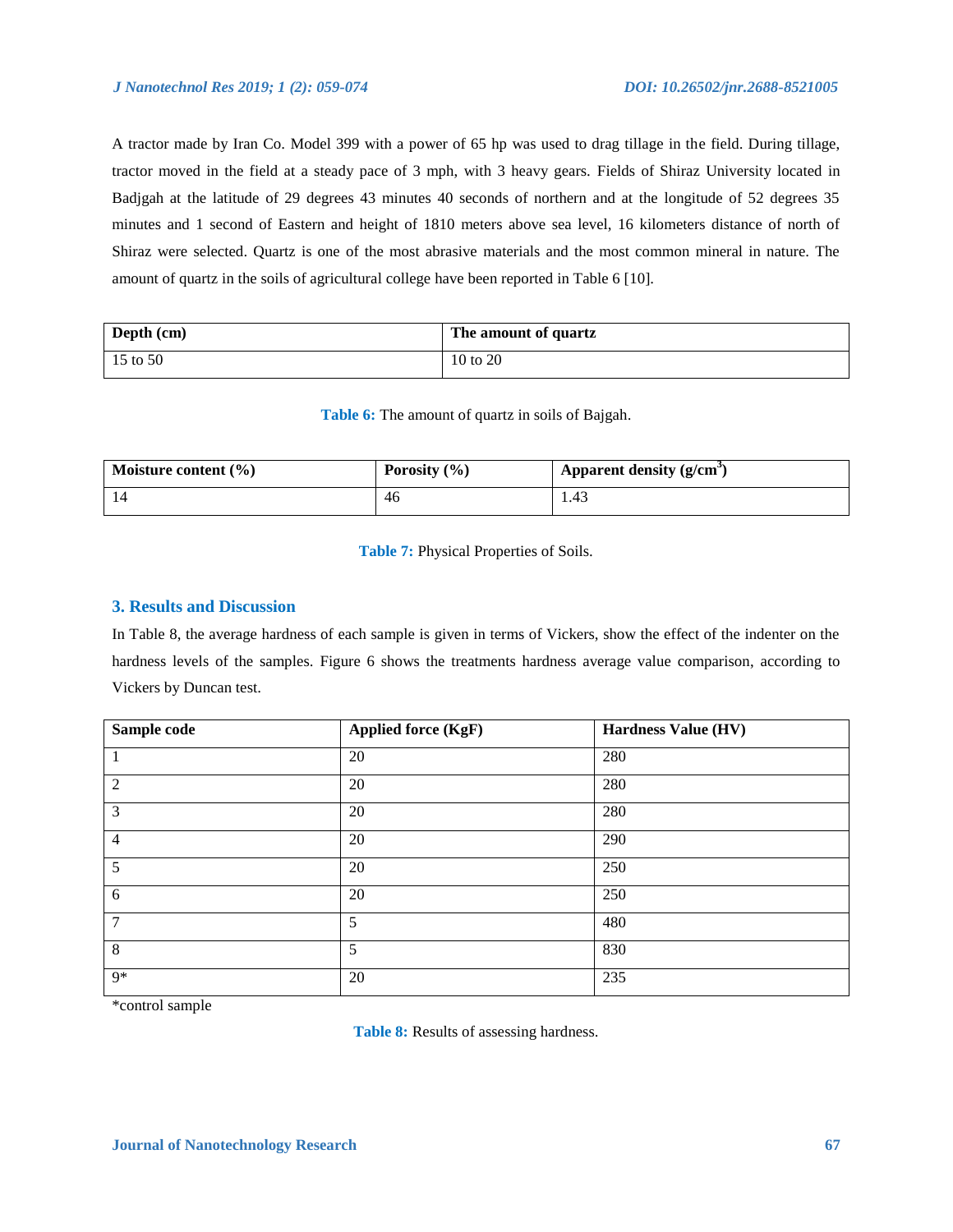A tractor made by Iran Co. Model 399 with a power of 65 hp was used to drag tillage in the field. During tillage, tractor moved in the field at a steady pace of 3 mph, with 3 heavy gears. Fields of Shiraz University located in Badjgah at the latitude of 29 degrees 43 minutes 40 seconds of northern and at the longitude of 52 degrees 35 minutes and 1 second of Eastern and height of 1810 meters above sea level, 16 kilometers distance of north of Shiraz were selected. Quartz is one of the most abrasive materials and the most common mineral in nature. The amount of quartz in the soils of agricultural college have been reported in Table 6 [10].

| Depth (cm) | The amount of quartz |
|------------|----------------------|
| 15 to 50   | 10 to 20             |

**Table 6:** The amount of quartz in soils of Bajgah.

| Moisture content $(\% )$ | Porosity $(\% )$ | Apparent density $(g/cm3)$ |
|--------------------------|------------------|----------------------------|
| 14                       | -46              | 1.43                       |

**Table 7:** Physical Properties of Soils.

# **3. Results and Discussion**

In Table 8, the average hardness of each sample is given in terms of Vickers, show the effect of the indenter on the hardness levels of the samples. Figure 6 shows the treatments hardness average value comparison, according to Vickers by Duncan test.

| Sample code    | <b>Applied force (KgF)</b> | <b>Hardness Value (HV)</b> |
|----------------|----------------------------|----------------------------|
|                | 20                         | 280                        |
| 2              | 20                         | 280                        |
| 3              | 20                         | 280                        |
| $\overline{4}$ | 20                         | 290                        |
| 5              | 20                         | 250                        |
| 6              | 20                         | 250                        |
| $\overline{7}$ | 5                          | 480                        |
| 8              | 5                          | 830                        |
| 9*             | 20                         | 235                        |

\*control sample

**Table 8:** Results of assessing hardness.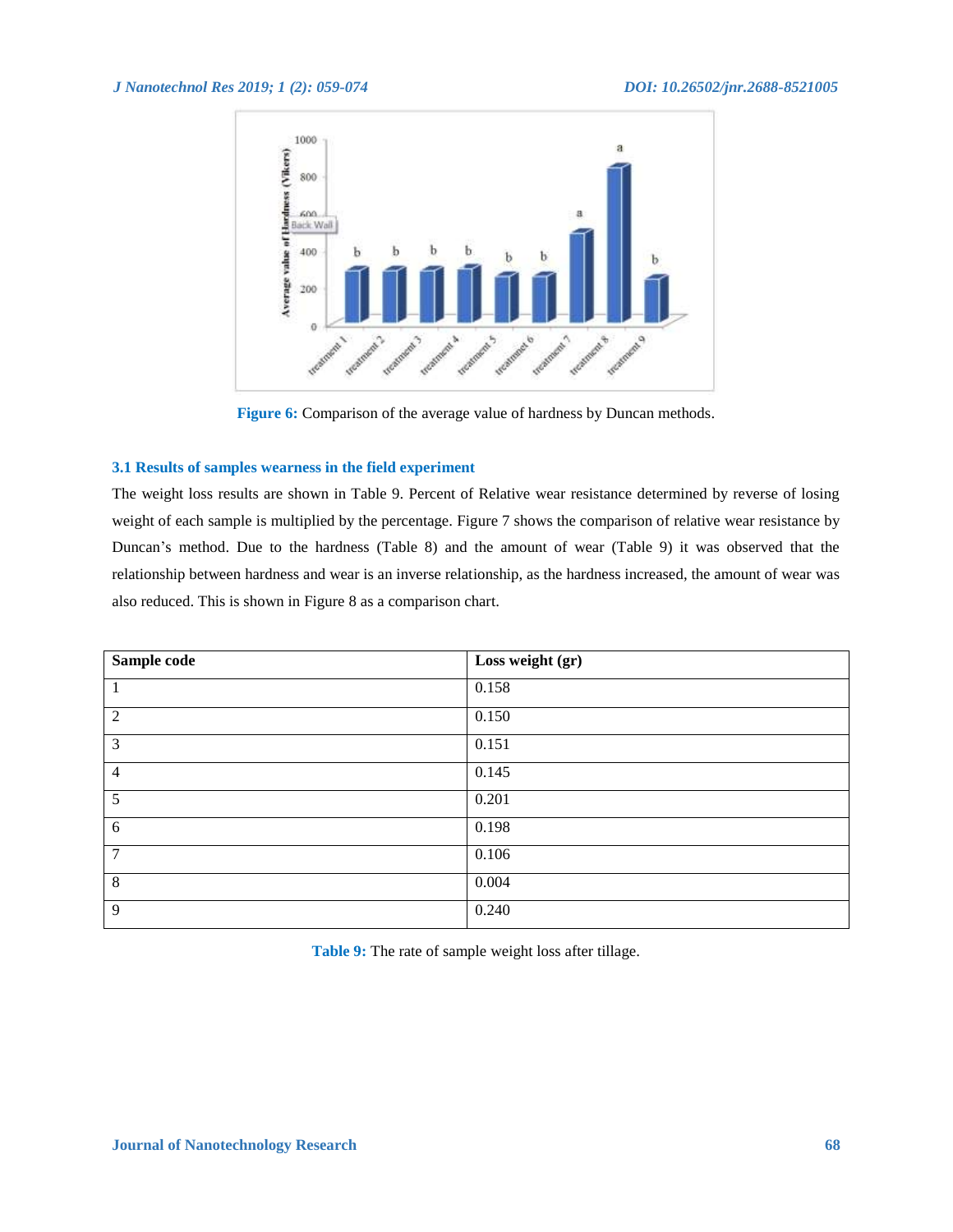

**Figure 6:** Comparison of the average value of hardness by Duncan methods.

# **3.1 Results of samples wearness in the field experiment**

The weight loss results are shown in Table 9. Percent of Relative wear resistance determined by reverse of losing weight of each sample is multiplied by the percentage. Figure 7 shows the comparison of relative wear resistance by Duncan's method. Due to the hardness (Table 8) and the amount of wear (Table 9) it was observed that the relationship between hardness and wear is an inverse relationship, as the hardness increased, the amount of wear was also reduced. This is shown in Figure 8 as a comparison chart.

| Sample code    | Loss weight (gr) |
|----------------|------------------|
|                | 0.158            |
| 2              | 0.150            |
| 3              | 0.151            |
| $\overline{4}$ | 0.145            |
| 5              | 0.201            |
| $6\,$          | 0.198            |
| 7              | 0.106            |
| 8              | 0.004            |
| 9              | 0.240            |

**Table 9:** The rate of sample weight loss after tillage.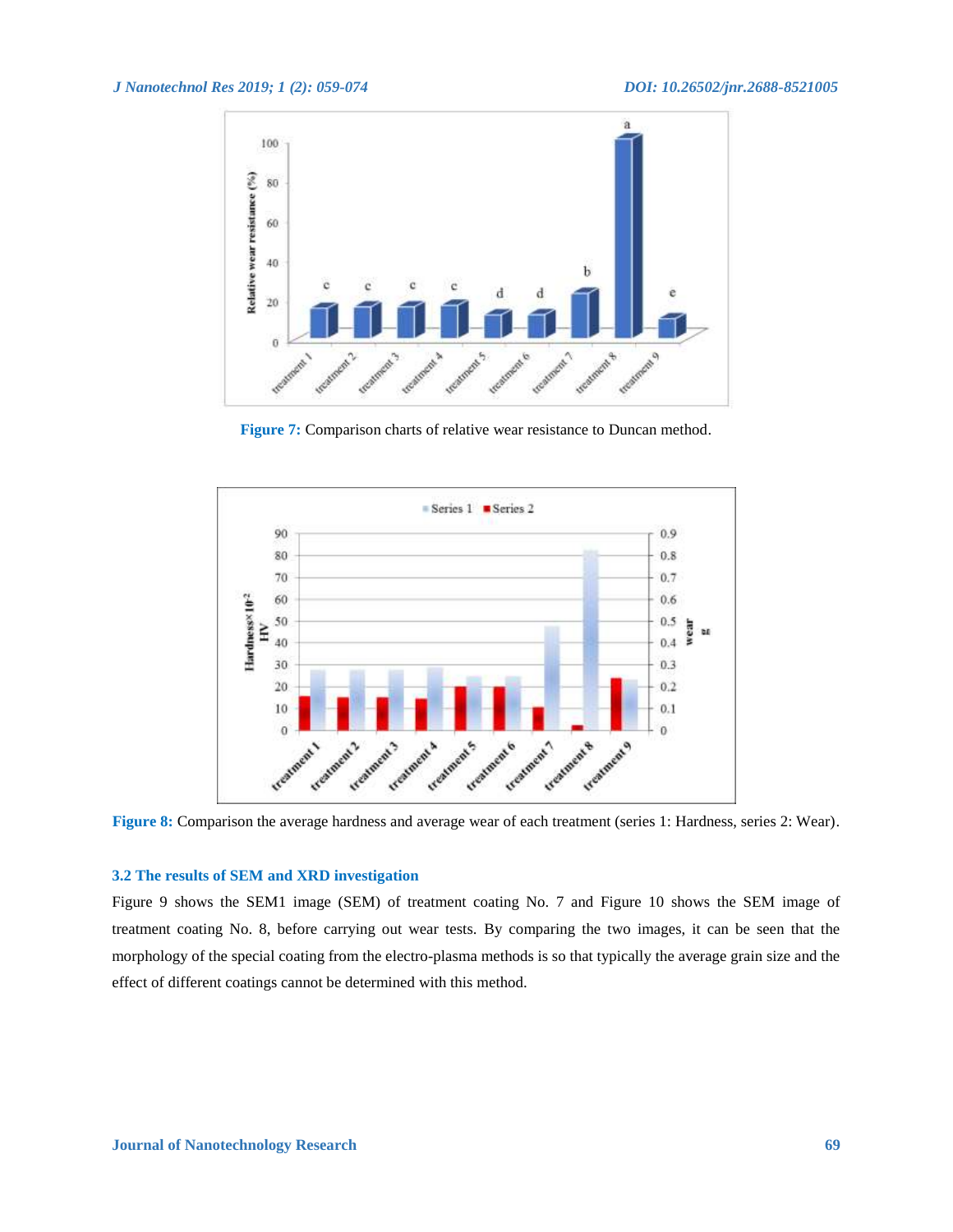

**Figure 7:** Comparison charts of relative wear resistance to Duncan method.



**Figure 8:** Comparison the average hardness and average wear of each treatment (series 1: Hardness, series 2: Wear).

# **3.2 The results of SEM and XRD investigation**

Figure 9 shows the SEM1 image (SEM) of treatment coating No. 7 and Figure 10 shows the SEM image of treatment coating No. 8, before carrying out wear tests. By comparing the two images, it can be seen that the morphology of the special coating from the electro-plasma methods is so that typically the average grain size and the effect of different coatings cannot be determined with this method.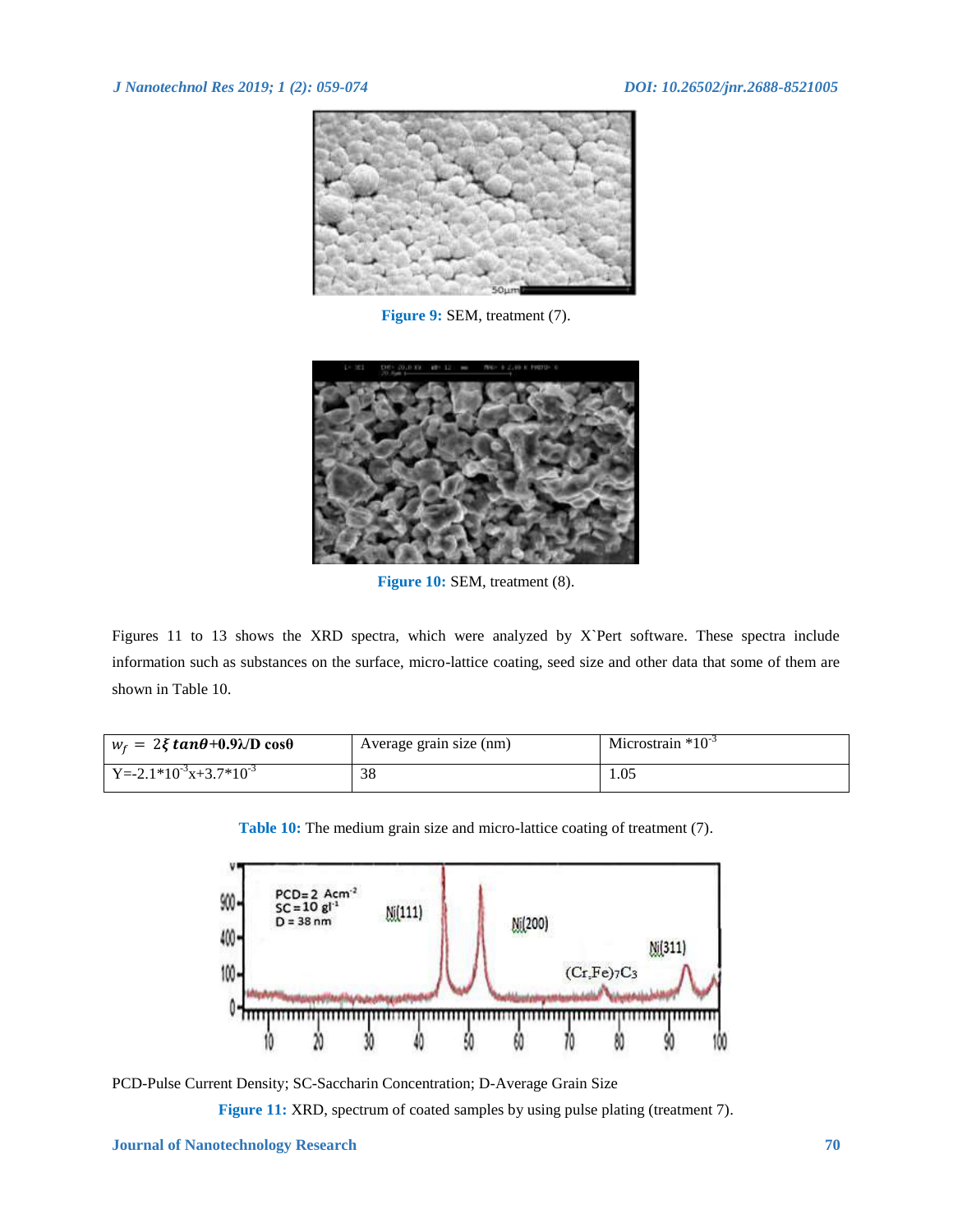

**Figure 9:** SEM, treatment (7).



**Figure 10:** SEM, treatment (8).

Figures 11 to 13 shows the XRD spectra, which were analyzed by X`Pert software. These spectra include information such as substances on the surface, micro-lattice coating, seed size and other data that some of them are shown in Table 10.

| $w_f = 2\xi tan\theta + 0.9\lambda/D cos\theta$ | Average grain size (nm) | Microstrain $*10^{-3}$ |
|-------------------------------------------------|-------------------------|------------------------|
| $Y = -2.1 * 10^{-3}x + 3.7 * 10^{-3}$           | 38                      | 1.05                   |

**Table 10:** The medium grain size and micro-lattice coating of treatment (7).



PCD-Pulse Current Density; SC-Saccharin Concentration; D-Average Grain Size

Figure 11: XRD, spectrum of coated samples by using pulse plating (treatment 7).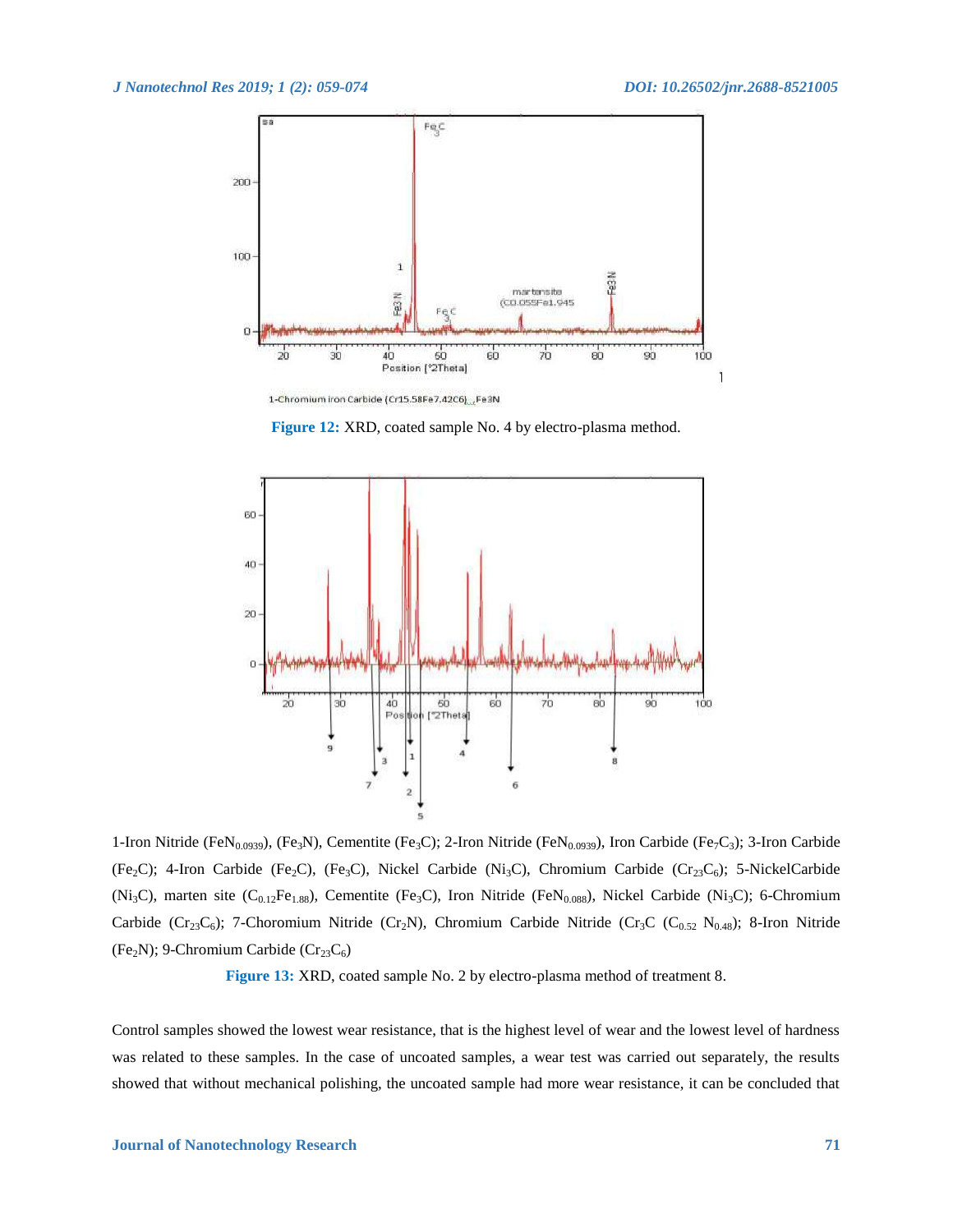

**Figure 12:** XRD, coated sample No. 4 by electro-plasma method.



1-Iron Nitride (FeN<sub>0.0939</sub>), (Fe<sub>3</sub>N), Cementite (Fe<sub>3</sub>C); 2-Iron Nitride (FeN<sub>0.0939</sub>), Iron Carbide (Fe<sub>7</sub>C<sub>3</sub>); 3-Iron Carbide (Fe<sub>2</sub>C); 4-Iron Carbide (Fe<sub>2</sub>C), (Fe<sub>3</sub>C), Nickel Carbide (Ni<sub>3</sub>C), Chromium Carbide (Cr<sub>23</sub>C<sub>6</sub>); 5-NickelCarbide (Ni<sub>3</sub>C), marten site (C<sub>0.12</sub>Fe<sub>1.88</sub>), Cementite (Fe<sub>3</sub>C), Iron Nitride (FeN<sub>0.088</sub>), Nickel Carbide (Ni<sub>3</sub>C); 6-Chromium Carbide (Cr<sub>23</sub>C<sub>6</sub>); 7-Choromium Nitride (Cr<sub>2</sub>N), Chromium Carbide Nitride (Cr<sub>3</sub>C (C<sub>0.52</sub> N<sub>0.48</sub>); 8-Iron Nitride (Fe<sub>2</sub>N); 9-Chromium Carbide ( $Cr<sub>23</sub>C<sub>6</sub>$ )

**Figure 13:** XRD, coated sample No. 2 by electro-plasma method of treatment 8.

Control samples showed the lowest wear resistance, that is the highest level of wear and the lowest level of hardness was related to these samples. In the case of uncoated samples, a wear test was carried out separately, the results showed that without mechanical polishing, the uncoated sample had more wear resistance, it can be concluded that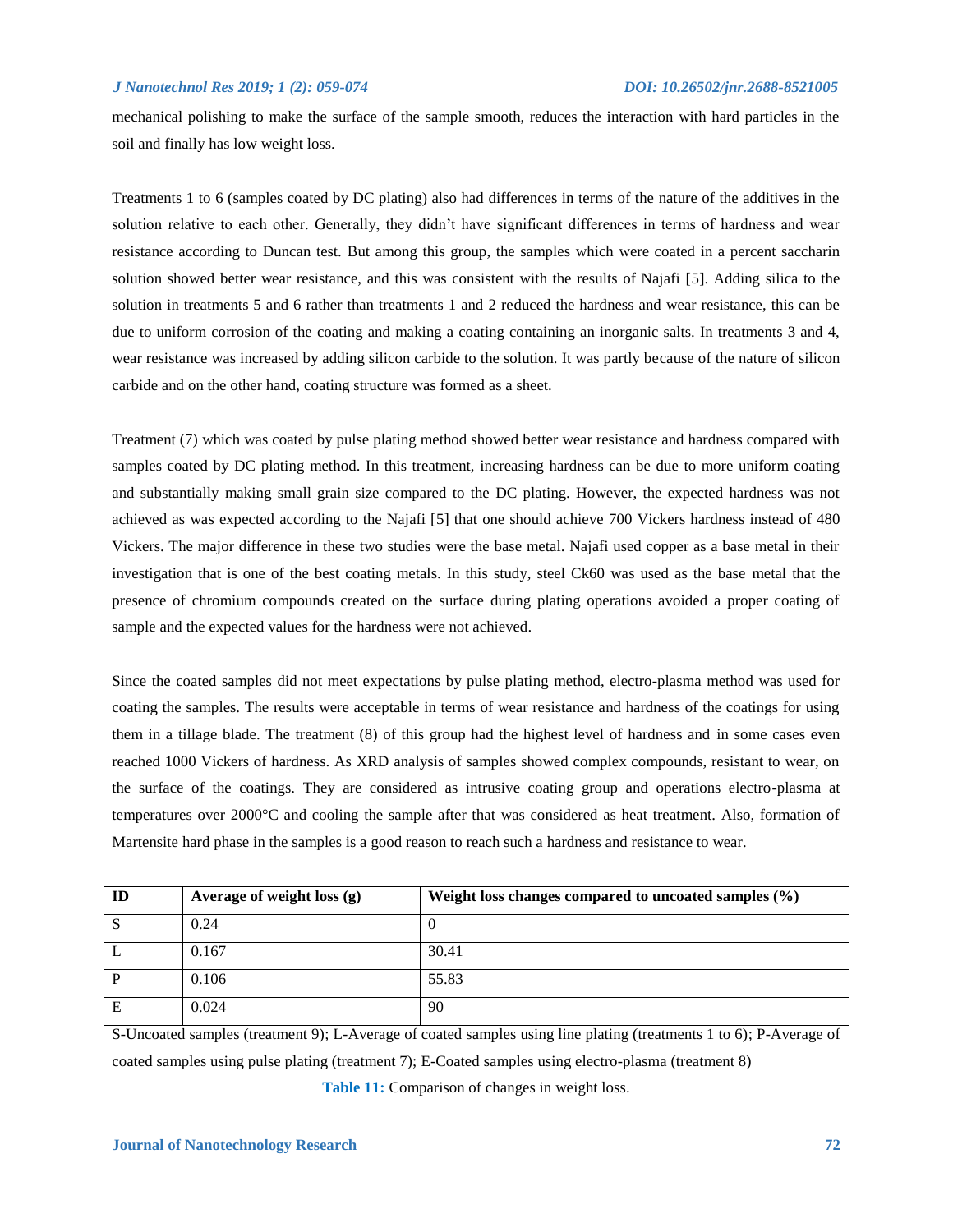mechanical polishing to make the surface of the sample smooth, reduces the interaction with hard particles in the soil and finally has low weight loss.

Treatments 1 to 6 (samples coated by DC plating) also had differences in terms of the nature of the additives in the solution relative to each other. Generally, they didn't have significant differences in terms of hardness and wear resistance according to Duncan test. But among this group, the samples which were coated in a percent saccharin solution showed better wear resistance, and this was consistent with the results of Najafi [5]. Adding silica to the solution in treatments 5 and 6 rather than treatments 1 and 2 reduced the hardness and wear resistance, this can be due to uniform corrosion of the coating and making a coating containing an inorganic salts. In treatments 3 and 4, wear resistance was increased by adding silicon carbide to the solution. It was partly because of the nature of silicon carbide and on the other hand, coating structure was formed as a sheet.

Treatment (7) which was coated by pulse plating method showed better wear resistance and hardness compared with samples coated by DC plating method. In this treatment, increasing hardness can be due to more uniform coating and substantially making small grain size compared to the DC plating. However, the expected hardness was not achieved as was expected according to the Najafi [5] that one should achieve 700 Vickers hardness instead of 480 Vickers. The major difference in these two studies were the base metal. Najafi used copper as a base metal in their investigation that is one of the best coating metals. In this study, steel Ck60 was used as the base metal that the presence of chromium compounds created on the surface during plating operations avoided a proper coating of sample and the expected values for the hardness were not achieved.

Since the coated samples did not meet expectations by pulse plating method, electro-plasma method was used for coating the samples. The results were acceptable in terms of wear resistance and hardness of the coatings for using them in a tillage blade. The treatment (8) of this group had the highest level of hardness and in some cases even reached 1000 Vickers of hardness. As XRD analysis of samples showed complex compounds, resistant to wear, on the surface of the coatings. They are considered as intrusive coating group and operations electro-plasma at temperatures over 2000°C and cooling the sample after that was considered as heat treatment. Also, formation of Martensite hard phase in the samples is a good reason to reach such a hardness and resistance to wear.

| ID | Average of weight loss (g) | Weight loss changes compared to uncoated samples (%) |
|----|----------------------------|------------------------------------------------------|
| ٠J | 0.24                       |                                                      |
|    | 0.167                      | 30.41                                                |
| D  | 0.106                      | 55.83                                                |
| E  | 0.024                      | 90                                                   |

S-Uncoated samples (treatment 9); L-Average of coated samples using line plating (treatments 1 to 6); P-Average of coated samples using pulse plating (treatment 7); E-Coated samples using electro-plasma (treatment 8)

**Table 11:** Comparison of changes in weight loss.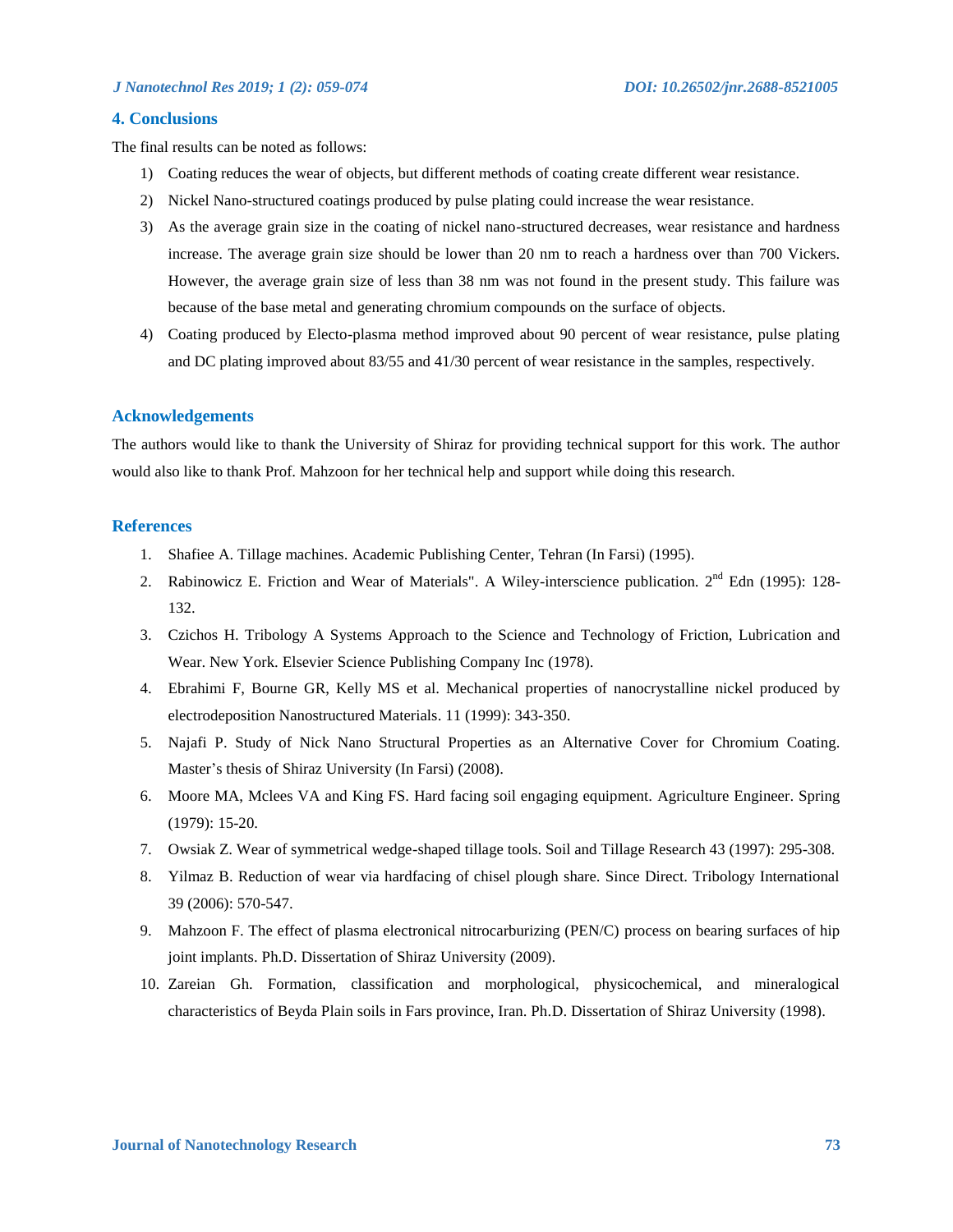# **4. Conclusions**

The final results can be noted as follows:

- 1) Coating reduces the wear of objects, but different methods of coating create different wear resistance.
- 2) Nickel Nano-structured coatings produced by pulse plating could increase the wear resistance.
- 3) As the average grain size in the coating of nickel nano-structured decreases, wear resistance and hardness increase. The average grain size should be lower than 20 nm to reach a hardness over than 700 Vickers. However, the average grain size of less than 38 nm was not found in the present study. This failure was because of the base metal and generating chromium compounds on the surface of objects.
- 4) Coating produced by Electo-plasma method improved about 90 percent of wear resistance, pulse plating and DC plating improved about 83/55 and 41/30 percent of wear resistance in the samples, respectively.

### **Acknowledgements**

The authors would like to thank the University of Shiraz for providing technical support for this work. The author would also like to thank Prof. Mahzoon for her technical help and support while doing this research.

# **References**

- 1. Shafiee A. Tillage machines. Academic Publishing Center, Tehran (In Farsi) (1995).
- 2. Rabinowicz E. Friction and Wear of Materials". A Wiley-interscience publication. 2<sup>nd</sup> Edn (1995): 128-132.
- 3. Czichos H. Tribology A Systems Approach to the Science and Technology of Friction, Lubrication and Wear. New York. Elsevier Science Publishing Company Inc (1978).
- 4. Ebrahimi F, Bourne GR, Kelly MS et al. Mechanical properties of nanocrystalline nickel produced by electrodeposition Nanostructured Materials. 11 (1999): 343-350.
- 5. Najafi P. Study of Nick Nano Structural Properties as an Alternative Cover for Chromium Coating. Master's thesis of Shiraz University (In Farsi) (2008).
- 6. Moore MA, Mclees VA and King FS. Hard facing soil engaging equipment. Agriculture Engineer. Spring (1979): 15-20.
- 7. Owsiak Z. Wear of symmetrical wedge-shaped tillage tools. Soil and Tillage Research 43 (1997): 295-308.
- 8. Yilmaz B. Reduction of wear via hardfacing of chisel plough share. Since Direct. Tribology International 39 (2006): 570-547.
- 9. Mahzoon F. The effect of plasma electronical nitrocarburizing (PEN/C) process on bearing surfaces of hip joint implants. Ph.D. Dissertation of Shiraz University (2009).
- 10. Zareian Gh. Formation, classification and morphological, physicochemical, and mineralogical characteristics of Beyda Plain soils in Fars province, Iran. Ph.D. Dissertation of Shiraz University (1998).